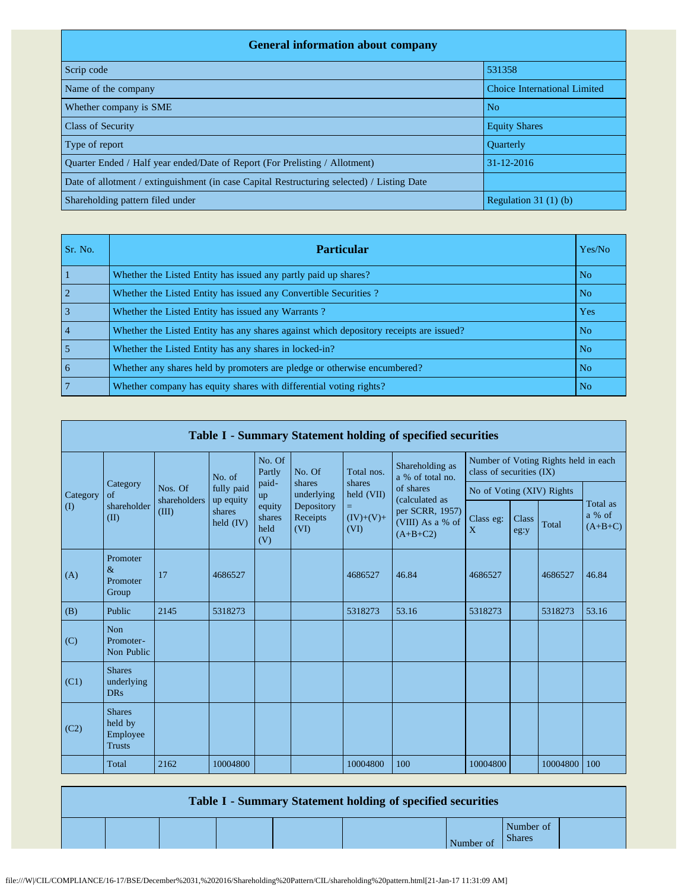| <b>General information about company</b>                                                   |                              |  |  |  |  |  |  |  |  |
|--------------------------------------------------------------------------------------------|------------------------------|--|--|--|--|--|--|--|--|
| Scrip code                                                                                 | 531358                       |  |  |  |  |  |  |  |  |
| Name of the company                                                                        | Choice International Limited |  |  |  |  |  |  |  |  |
| Whether company is SME                                                                     | N <sub>o</sub>               |  |  |  |  |  |  |  |  |
| <b>Class of Security</b>                                                                   | <b>Equity Shares</b>         |  |  |  |  |  |  |  |  |
| Type of report                                                                             | <b>Ouarterly</b>             |  |  |  |  |  |  |  |  |
| Ouarter Ended / Half year ended/Date of Report (For Prelisting / Allotment)                | $31 - 12 - 2016$             |  |  |  |  |  |  |  |  |
| Date of allotment / extinguishment (in case Capital Restructuring selected) / Listing Date |                              |  |  |  |  |  |  |  |  |
| Shareholding pattern filed under                                                           | Regulation $31(1)(b)$        |  |  |  |  |  |  |  |  |

| Sr. No.        | <b>Particular</b>                                                                      | Yes/No         |
|----------------|----------------------------------------------------------------------------------------|----------------|
|                | Whether the Listed Entity has issued any partly paid up shares?                        | N <sub>o</sub> |
|                | Whether the Listed Entity has issued any Convertible Securities?                       | N <sub>o</sub> |
|                | Whether the Listed Entity has issued any Warrants?                                     | Yes            |
| $\overline{4}$ | Whether the Listed Entity has any shares against which depository receipts are issued? | N <sub>o</sub> |
|                | Whether the Listed Entity has any shares in locked-in?                                 | N <sub>o</sub> |
| 6              | Whether any shares held by promoters are pledge or otherwise encumbered?               | N <sub>o</sub> |
|                | Whether company has equity shares with differential voting rights?                     | No.            |

|                            | Table I - Summary Statement holding of specified securities |                         |                                  |                                 |                                |                                                  |                                                                                  |                                                                  |               |          |                                 |  |  |  |
|----------------------------|-------------------------------------------------------------|-------------------------|----------------------------------|---------------------------------|--------------------------------|--------------------------------------------------|----------------------------------------------------------------------------------|------------------------------------------------------------------|---------------|----------|---------------------------------|--|--|--|
|                            |                                                             |                         | No. of                           | No. Of<br>Partly                | No. Of                         | Total nos.                                       | Shareholding as<br>a % of total no.                                              | Number of Voting Rights held in each<br>class of securities (IX) |               |          |                                 |  |  |  |
| Category                   | Category<br>$\sigma$ f                                      | Nos. Of<br>shareholders | fully paid                       | paid-<br>up                     | shares<br>underlying           | shares<br>held (VII)<br>=<br>$(IV)+(V)+$<br>(VI) | of shares<br>(calculated as<br>per SCRR, 1957)<br>(VIII) As a % of<br>$(A+B+C2)$ | No of Voting (XIV) Rights                                        |               |          |                                 |  |  |  |
| $($ $($ $)$<br>$\&$<br>(A) | shareholder<br>(II)                                         | (III)                   | up equity<br>shares<br>held (IV) | equity<br>shares<br>held<br>(V) | Depository<br>Receipts<br>(VI) |                                                  |                                                                                  | Class eg:<br>X                                                   | Class<br>eg:y | Total    | Total as<br>a % of<br>$(A+B+C)$ |  |  |  |
|                            | Promoter<br>Promoter<br>Group                               | 17                      | 4686527                          |                                 |                                | 4686527                                          | 46.84                                                                            | 4686527                                                          |               | 4686527  | 46.84                           |  |  |  |
| (B)                        | Public                                                      | 2145                    | 5318273                          |                                 |                                | 5318273                                          | 53.16                                                                            | 5318273                                                          |               | 5318273  | 53.16                           |  |  |  |
| (C)                        | <b>Non</b><br>Promoter-<br>Non Public                       |                         |                                  |                                 |                                |                                                  |                                                                                  |                                                                  |               |          |                                 |  |  |  |
| (C1)                       | <b>Shares</b><br>underlying<br><b>DRs</b>                   |                         |                                  |                                 |                                |                                                  |                                                                                  |                                                                  |               |          |                                 |  |  |  |
| (C2)                       | <b>Shares</b><br>held by<br>Employee<br><b>Trusts</b>       |                         |                                  |                                 |                                |                                                  |                                                                                  |                                                                  |               |          |                                 |  |  |  |
|                            | Total                                                       | 2162                    | 10004800                         |                                 |                                | 10004800                                         | 100                                                                              | 10004800                                                         |               | 10004800 | 100                             |  |  |  |

| <b>Table I - Summary Statement holding of specified securities</b> |  |  |  |           |                            |  |  |  |  |  |
|--------------------------------------------------------------------|--|--|--|-----------|----------------------------|--|--|--|--|--|
|                                                                    |  |  |  | Number of | Number of<br><b>Shares</b> |  |  |  |  |  |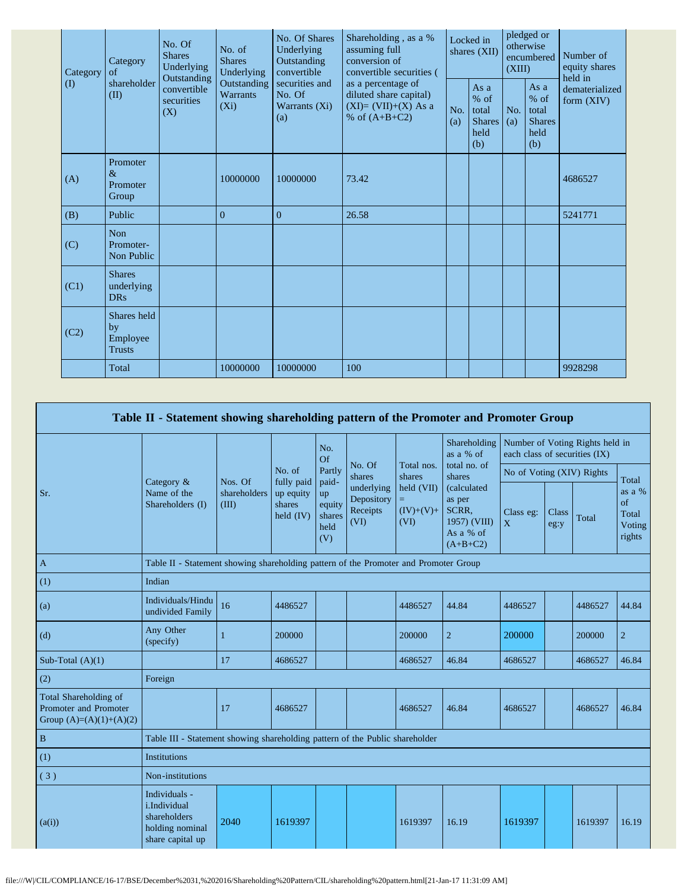| Category          | Category<br>of                                 | No. Of<br><b>Shares</b><br>Underlying<br>Outstanding | No. of<br><b>Shares</b><br>Underlying     | No. Of Shares<br>Underlying<br>Outstanding<br>convertible | Shareholding, as a %<br>assuming full<br>conversion of<br>convertible securities (       | Locked in<br>shares (XII) |                                                         | pledged or<br>otherwise<br>encumbered<br>(XIII) |                                                         | Number of<br>equity shares<br>held in |  |
|-------------------|------------------------------------------------|------------------------------------------------------|-------------------------------------------|-----------------------------------------------------------|------------------------------------------------------------------------------------------|---------------------------|---------------------------------------------------------|-------------------------------------------------|---------------------------------------------------------|---------------------------------------|--|
| $\textcircled{1}$ | shareholder<br>(II)                            | convertible<br>securities<br>(X)                     | Outstanding<br><b>Warrants</b><br>$(X_i)$ | securities and<br>No. Of<br>Warrants (Xi)<br>(a)          | as a percentage of<br>diluted share capital)<br>$(XI)=(VII)+(X)$ As a<br>% of $(A+B+C2)$ | No.<br>(a)                | As a<br>$%$ of<br>total<br><b>Shares</b><br>held<br>(b) | No.<br>(a)                                      | As a<br>$%$ of<br>total<br><b>Shares</b><br>held<br>(b) | dematerialized<br>form $(XIV)$        |  |
| (A)               | Promoter<br>$\&$<br>Promoter<br>Group          |                                                      | 10000000                                  | 10000000                                                  | 73.42                                                                                    |                           |                                                         |                                                 |                                                         | 4686527                               |  |
| (B)               | Public                                         |                                                      | $\Omega$                                  | $\Omega$                                                  | 26.58                                                                                    |                           |                                                         |                                                 |                                                         | 5241771                               |  |
| (C)               | <b>Non</b><br>Promoter-<br>Non Public          |                                                      |                                           |                                                           |                                                                                          |                           |                                                         |                                                 |                                                         |                                       |  |
| (C1)              | <b>Shares</b><br>underlying<br><b>DRs</b>      |                                                      |                                           |                                                           |                                                                                          |                           |                                                         |                                                 |                                                         |                                       |  |
| (C2)              | Shares held<br>by<br>Employee<br><b>Trusts</b> |                                                      |                                           |                                                           |                                                                                          |                           |                                                         |                                                 |                                                         |                                       |  |
|                   | Total                                          |                                                      | 10000000                                  | 10000000                                                  | 100                                                                                      |                           |                                                         |                                                 |                                                         | 9928298                               |  |

|                                                                             | Table II - Statement showing shareholding pattern of the Promoter and Promoter Group |                                  |                                                  |                                                |                                              |                                   |                                                                           |                               |                      |                                 |                                           |
|-----------------------------------------------------------------------------|--------------------------------------------------------------------------------------|----------------------------------|--------------------------------------------------|------------------------------------------------|----------------------------------------------|-----------------------------------|---------------------------------------------------------------------------|-------------------------------|----------------------|---------------------------------|-------------------------------------------|
|                                                                             |                                                                                      |                                  |                                                  | No.<br>Of                                      |                                              |                                   | Shareholding<br>as a % of                                                 | each class of securities (IX) |                      | Number of Voting Rights held in |                                           |
|                                                                             |                                                                                      |                                  | No. of                                           | Partly                                         | No. Of<br>shares                             | Total nos.<br>shares              | total no. of<br>shares                                                    | No of Voting (XIV) Rights     |                      |                                 | Total                                     |
| Sr.                                                                         | Category $\&$<br>Name of the<br>Shareholders (I)                                     | Nos. Of<br>shareholders<br>(III) | fully paid<br>up equity<br>shares<br>held $(IV)$ | paid-<br>up<br>equity<br>shares<br>held<br>(V) | underlying<br>Depository<br>Receipts<br>(VI) | held (VII)<br>$(IV)+(V)+$<br>(VI) | (calculated<br>as per<br>SCRR.<br>1957) (VIII)<br>As a % of<br>$(A+B+C2)$ | Class eg:<br>X                | <b>Class</b><br>eg:y | Total                           | as a %<br>of<br>Total<br>Voting<br>rights |
| $\mathbf{A}$                                                                | Table II - Statement showing shareholding pattern of the Promoter and Promoter Group |                                  |                                                  |                                                |                                              |                                   |                                                                           |                               |                      |                                 |                                           |
| (1)                                                                         | Indian                                                                               |                                  |                                                  |                                                |                                              |                                   |                                                                           |                               |                      |                                 |                                           |
| (a)                                                                         | Individuals/Hindu<br>undivided Family                                                | 16                               | 4486527                                          |                                                |                                              | 4486527                           | 44.84                                                                     | 4486527                       |                      | 4486527                         | 44.84                                     |
| (d)                                                                         | Any Other<br>(specify)                                                               |                                  | 200000                                           |                                                |                                              | 200000                            | $\overline{2}$                                                            | 200000                        |                      | 200000                          | $\overline{2}$                            |
| Sub-Total $(A)(1)$                                                          |                                                                                      | 17                               | 4686527                                          |                                                |                                              | 4686527                           | 46.84                                                                     | 4686527                       |                      | 4686527                         | 46.84                                     |
| (2)                                                                         | Foreign                                                                              |                                  |                                                  |                                                |                                              |                                   |                                                                           |                               |                      |                                 |                                           |
| Total Shareholding of<br>Promoter and Promoter<br>Group $(A)=(A)(1)+(A)(2)$ |                                                                                      | 17                               | 4686527                                          |                                                |                                              | 4686527                           | 46.84                                                                     | 4686527                       |                      | 4686527                         | 46.84                                     |
| $\, {\bf B}$                                                                | Table III - Statement showing shareholding pattern of the Public shareholder         |                                  |                                                  |                                                |                                              |                                   |                                                                           |                               |                      |                                 |                                           |
| (1)                                                                         | Institutions                                                                         |                                  |                                                  |                                                |                                              |                                   |                                                                           |                               |                      |                                 |                                           |
| (3)                                                                         | Non-institutions                                                                     |                                  |                                                  |                                                |                                              |                                   |                                                                           |                               |                      |                                 |                                           |
| (a(i))                                                                      | Individuals -<br>i.Individual<br>shareholders<br>holding nominal<br>share capital up | 2040                             | 1619397                                          |                                                |                                              | 1619397                           | 16.19                                                                     | 1619397                       |                      | 1619397                         | 16.19                                     |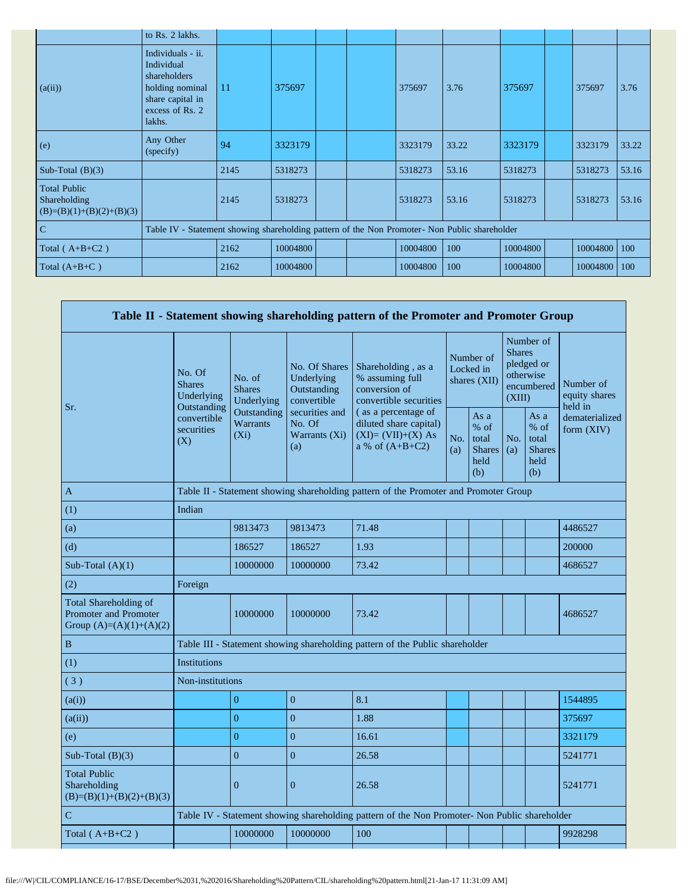|                                                                   | to Rs. 2 lakhs.                                                                                                     |      |          |  |          |       |          |          |             |
|-------------------------------------------------------------------|---------------------------------------------------------------------------------------------------------------------|------|----------|--|----------|-------|----------|----------|-------------|
| (a(ii))                                                           | Individuals - ii.<br>Individual<br>shareholders<br>holding nominal<br>share capital in<br>excess of Rs. 2<br>lakhs. | 11   | 375697   |  | 375697   | 3.76  | 375697   | 375697   | 3.76        |
| (e)                                                               | Any Other<br>(specify)                                                                                              | 94   | 3323179  |  | 3323179  | 33.22 | 3323179  | 3323179  | 33.22       |
| Sub-Total $(B)(3)$                                                |                                                                                                                     | 2145 | 5318273  |  | 5318273  | 53.16 | 5318273  | 5318273  | 53.16       |
| <b>Total Public</b><br>Shareholding<br>$(B)=(B)(1)+(B)(2)+(B)(3)$ |                                                                                                                     | 2145 | 5318273  |  | 5318273  | 53.16 | 5318273  | 5318273  | 53.16       |
| $\mathcal{C}$                                                     | Table IV - Statement showing shareholding pattern of the Non Promoter- Non Public shareholder                       |      |          |  |          |       |          |          |             |
| Total ( $A+B+C2$ )                                                |                                                                                                                     | 2162 | 10004800 |  | 10004800 | 100   | 10004800 | 10004800 | $\vert$ 100 |
| Total $(A+B+C)$                                                   |                                                                                                                     | 2162 | 10004800 |  | 10004800 | 100   | 10004800 | 10004800 | $\mid$ 100  |

|                                                                             |                                                      |                                           |                                                           | Table II - Statement showing shareholding pattern of the Promoter and Promoter Group          |                                        |                                                         |                                                                               |                                                         |                                       |  |
|-----------------------------------------------------------------------------|------------------------------------------------------|-------------------------------------------|-----------------------------------------------------------|-----------------------------------------------------------------------------------------------|----------------------------------------|---------------------------------------------------------|-------------------------------------------------------------------------------|---------------------------------------------------------|---------------------------------------|--|
|                                                                             | No. Of<br><b>Shares</b><br>Underlying<br>Outstanding | No. of<br><b>Shares</b><br>Underlying     | No. Of Shares<br>Underlying<br>Outstanding<br>convertible | Shareholding, as a<br>% assuming full<br>conversion of<br>convertible securities              | Number of<br>Locked in<br>shares (XII) |                                                         | Number of<br><b>Shares</b><br>pledged or<br>otherwise<br>encumbered<br>(XIII) |                                                         | Number of<br>equity shares<br>held in |  |
| Sr.                                                                         | convertible<br>securities<br>(X)                     | Outstanding<br><b>Warrants</b><br>$(X_i)$ | securities and<br>No. Of<br>Warrants (Xi)<br>(a)          | (as a percentage of<br>diluted share capital)<br>$(XI)=(VII)+(X) As$<br>a % of $(A+B+C2)$     | No.<br>(a)                             | As a<br>$%$ of<br>total<br><b>Shares</b><br>held<br>(b) | No.<br>(a)                                                                    | As a<br>$%$ of<br>total<br><b>Shares</b><br>held<br>(b) | dematerialized<br>form $(XIV)$        |  |
| A                                                                           |                                                      |                                           |                                                           | Table II - Statement showing shareholding pattern of the Promoter and Promoter Group          |                                        |                                                         |                                                                               |                                                         |                                       |  |
| (1)                                                                         | Indian                                               |                                           |                                                           |                                                                                               |                                        |                                                         |                                                                               |                                                         |                                       |  |
| (a)                                                                         |                                                      | 9813473                                   | 9813473                                                   | 71.48                                                                                         |                                        |                                                         |                                                                               |                                                         | 4486527                               |  |
| (d)                                                                         |                                                      | 186527                                    | 186527                                                    | 1.93                                                                                          |                                        |                                                         |                                                                               |                                                         | 200000                                |  |
| Sub-Total $(A)(1)$                                                          |                                                      | 10000000                                  | 10000000                                                  | 73.42                                                                                         |                                        |                                                         |                                                                               |                                                         | 4686527                               |  |
| (2)                                                                         | Foreign                                              |                                           |                                                           |                                                                                               |                                        |                                                         |                                                                               |                                                         |                                       |  |
| Total Shareholding of<br>Promoter and Promoter<br>Group $(A)=(A)(1)+(A)(2)$ |                                                      | 10000000                                  | 10000000                                                  | 73.42                                                                                         |                                        |                                                         |                                                                               |                                                         | 4686527                               |  |
| $\, {\bf B}$                                                                |                                                      |                                           |                                                           | Table III - Statement showing shareholding pattern of the Public shareholder                  |                                        |                                                         |                                                                               |                                                         |                                       |  |
| (1)                                                                         | <b>Institutions</b>                                  |                                           |                                                           |                                                                                               |                                        |                                                         |                                                                               |                                                         |                                       |  |
| (3)                                                                         | Non-institutions                                     |                                           |                                                           |                                                                                               |                                        |                                                         |                                                                               |                                                         |                                       |  |
| (a(i))                                                                      |                                                      | $\overline{0}$                            | $\mathbf{0}$                                              | 8.1                                                                                           |                                        |                                                         |                                                                               |                                                         | 1544895                               |  |
| (a(ii))                                                                     |                                                      | $\Omega$                                  | $\mathbf{0}$                                              | 1.88                                                                                          |                                        |                                                         |                                                                               |                                                         | 375697                                |  |
| (e)                                                                         |                                                      | $\theta$                                  | $\overline{0}$                                            | 16.61                                                                                         |                                        |                                                         |                                                                               |                                                         | 3321179                               |  |
| Sub-Total $(B)(3)$                                                          |                                                      | $\overline{0}$                            | $\overline{0}$                                            | 26.58                                                                                         |                                        |                                                         |                                                                               |                                                         | 5241771                               |  |
| <b>Total Public</b><br>Shareholding<br>$(B)=(B)(1)+(B)(2)+(B)(3)$           |                                                      | $\overline{0}$                            | $\mathbf{0}$                                              | 26.58                                                                                         |                                        |                                                         |                                                                               |                                                         | 5241771                               |  |
| $\mathbf C$                                                                 |                                                      |                                           |                                                           | Table IV - Statement showing shareholding pattern of the Non Promoter- Non Public shareholder |                                        |                                                         |                                                                               |                                                         |                                       |  |
| Total $(A+B+C2)$                                                            |                                                      | 10000000                                  | 10000000                                                  | 100                                                                                           |                                        |                                                         |                                                                               |                                                         | 9928298                               |  |
|                                                                             |                                                      |                                           |                                                           |                                                                                               |                                        |                                                         |                                                                               |                                                         |                                       |  |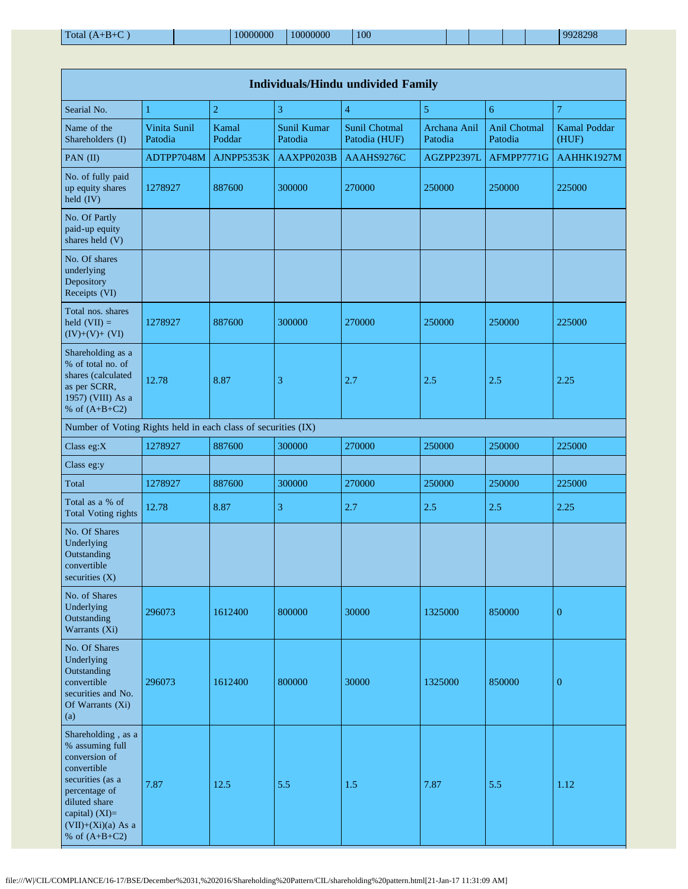|                                                                                                                                                                                          | <b>Individuals/Hindu undivided Family</b> |                 |                               |                                       |                         |                         |                              |  |  |  |  |  |  |
|------------------------------------------------------------------------------------------------------------------------------------------------------------------------------------------|-------------------------------------------|-----------------|-------------------------------|---------------------------------------|-------------------------|-------------------------|------------------------------|--|--|--|--|--|--|
| Searial No.                                                                                                                                                                              | 1                                         | $\overline{2}$  | 3                             | $\overline{4}$                        | 5                       | 6                       | $\overline{7}$               |  |  |  |  |  |  |
| Name of the<br>Shareholders (I)                                                                                                                                                          | Vinita Sunil<br>Patodia                   | Kamal<br>Poddar | <b>Sunil Kumar</b><br>Patodia | <b>Sunil Chotmal</b><br>Patodia (HUF) | Archana Anil<br>Patodia | Anil Chotmal<br>Patodia | <b>Kamal Poddar</b><br>(HUF) |  |  |  |  |  |  |
| PAN (II)                                                                                                                                                                                 | ADTPP7048M                                | AJNPP5353K      | AAXPP0203B                    | AAAHS9276C                            | AGZPP2397L              | AFMPP7771G              | AAHHK1927M                   |  |  |  |  |  |  |
| No. of fully paid<br>up equity shares<br>held (IV)                                                                                                                                       | 1278927                                   | 887600          | 300000                        | 270000                                | 250000                  | 250000                  | 225000                       |  |  |  |  |  |  |
| No. Of Partly<br>paid-up equity<br>shares held (V)                                                                                                                                       |                                           |                 |                               |                                       |                         |                         |                              |  |  |  |  |  |  |
| No. Of shares<br>underlying<br>Depository<br>Receipts (VI)                                                                                                                               |                                           |                 |                               |                                       |                         |                         |                              |  |  |  |  |  |  |
| Total nos. shares<br>held $(VII) =$<br>$(IV)+(V)+(VI)$                                                                                                                                   | 1278927                                   | 887600          | 300000                        | 270000                                | 250000                  | 250000                  | 225000                       |  |  |  |  |  |  |
| Shareholding as a<br>% of total no. of<br>shares (calculated<br>as per SCRR,<br>1957) (VIII) As a<br>% of $(A+B+C2)$                                                                     | 12.78                                     | 8.87            | 3                             | 2.7                                   | 2.5                     | 2.5                     | 2.25                         |  |  |  |  |  |  |
| Number of Voting Rights held in each class of securities (IX)                                                                                                                            |                                           |                 |                               |                                       |                         |                         |                              |  |  |  |  |  |  |
| Class eg:X                                                                                                                                                                               | 1278927                                   | 887600          | 300000                        | 270000                                | 250000                  | 250000                  | 225000                       |  |  |  |  |  |  |
| Class eg:y                                                                                                                                                                               |                                           |                 |                               |                                       |                         |                         |                              |  |  |  |  |  |  |
| Total                                                                                                                                                                                    | 1278927                                   | 887600          | 300000                        | 270000                                | 250000                  | 250000                  | 225000                       |  |  |  |  |  |  |
| Total as a % of<br><b>Total Voting rights</b>                                                                                                                                            | 12.78                                     | 8.87            | 3                             | 2.7                                   | 2.5                     | 2.5                     | 2.25                         |  |  |  |  |  |  |
| No. Of Shares<br>Underlying<br>Outstanding<br>convertible<br>securities (X)                                                                                                              |                                           |                 |                               |                                       |                         |                         |                              |  |  |  |  |  |  |
| No. of Shares<br>Underlying<br>Outstanding<br>Warrants (Xi)                                                                                                                              | 296073                                    | 1612400         | 800000                        | 30000                                 | 1325000                 | 850000                  | $\boldsymbol{0}$             |  |  |  |  |  |  |
| No. Of Shares<br>Underlying<br>Outstanding<br>convertible<br>securities and No.<br>Of Warrants (Xi)<br>(a)                                                                               | 296073                                    | 1612400         | 800000                        | 30000                                 | 1325000                 | 850000                  | $\mathbf{0}$                 |  |  |  |  |  |  |
| Shareholding, as a<br>% assuming full<br>conversion of<br>convertible<br>securities (as a<br>percentage of<br>diluted share<br>capital) (XI)=<br>$(VII)+(Xi)(a)$ As a<br>% of $(A+B+C2)$ | 7.87                                      | 12.5            | 5.5                           | 1.5                                   | 7.87                    | 5.5                     | 1.12                         |  |  |  |  |  |  |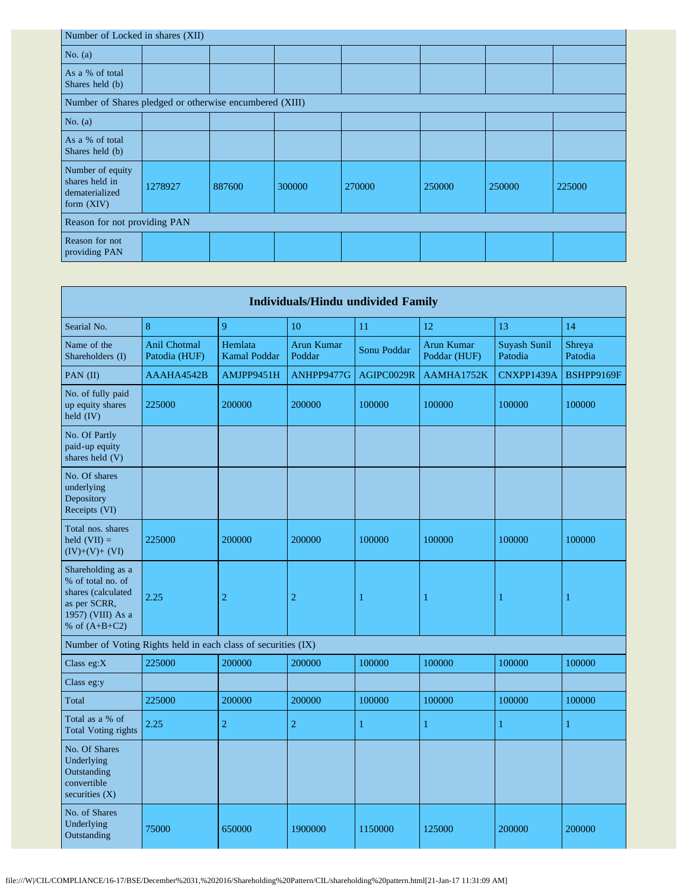| Number of Locked in shares (XII)                                     |         |        |        |        |        |        |        |  |  |  |  |
|----------------------------------------------------------------------|---------|--------|--------|--------|--------|--------|--------|--|--|--|--|
| No. $(a)$                                                            |         |        |        |        |        |        |        |  |  |  |  |
| As a % of total<br>Shares held (b)                                   |         |        |        |        |        |        |        |  |  |  |  |
| Number of Shares pledged or otherwise encumbered (XIII)              |         |        |        |        |        |        |        |  |  |  |  |
| No. $(a)$                                                            |         |        |        |        |        |        |        |  |  |  |  |
| As a % of total<br>Shares held (b)                                   |         |        |        |        |        |        |        |  |  |  |  |
| Number of equity<br>shares held in<br>dematerialized<br>form $(XIV)$ | 1278927 | 887600 | 300000 | 270000 | 250000 | 250000 | 225000 |  |  |  |  |
| Reason for not providing PAN                                         |         |        |        |        |        |        |        |  |  |  |  |
| Reason for not<br>providing PAN                                      |         |        |        |        |        |        |        |  |  |  |  |

|                                                                                                                      |                                      |                                | <b>Individuals/Hindu undivided Family</b> |              |                            |                         |                   |
|----------------------------------------------------------------------------------------------------------------------|--------------------------------------|--------------------------------|-------------------------------------------|--------------|----------------------------|-------------------------|-------------------|
| Searial No.                                                                                                          | 8                                    | 9                              | 10                                        | 11           | 12                         | 13                      | 14                |
| Name of the<br>Shareholders (I)                                                                                      | <b>Anil Chotmal</b><br>Patodia (HUF) | Hemlata<br><b>Kamal Poddar</b> | <b>Arun Kumar</b><br>Poddar               | Sonu Poddar  | Arun Kumar<br>Poddar (HUF) | Suyash Sunil<br>Patodia | Shreya<br>Patodia |
| PAN (II)                                                                                                             | AAAHA4542B                           | AMJPP9451H                     | ANHPP9477G                                | AGIPC0029R   | AAMHA1752K                 | CNXPP1439A              | <b>BSHPP9169F</b> |
| No. of fully paid<br>up equity shares<br>held (IV)                                                                   | 225000                               | 200000                         | 200000                                    | 100000       | 100000                     | 100000                  | 100000            |
| No. Of Partly<br>paid-up equity<br>shares held (V)                                                                   |                                      |                                |                                           |              |                            |                         |                   |
| No. Of shares<br>underlying<br>Depository<br>Receipts (VI)                                                           |                                      |                                |                                           |              |                            |                         |                   |
| Total nos. shares<br>held $(VII) =$<br>$(IV)+(V)+(VI)$                                                               | 225000                               | 200000                         | 200000                                    | 100000       | 100000                     | 100000                  | 100000            |
| Shareholding as a<br>% of total no. of<br>shares (calculated<br>as per SCRR,<br>1957) (VIII) As a<br>% of $(A+B+C2)$ | 2.25                                 | $\overline{2}$                 | $\overline{c}$                            | 1            | 1                          | 1                       | 1                 |
| Number of Voting Rights held in each class of securities (IX)                                                        |                                      |                                |                                           |              |                            |                         |                   |
| Class eg:X                                                                                                           | 225000                               | 200000                         | 200000                                    | 100000       | 100000                     | 100000                  | 100000            |
| Class eg:y                                                                                                           |                                      |                                |                                           |              |                            |                         |                   |
| Total                                                                                                                | 225000                               | 200000                         | 200000                                    | 100000       | 100000                     | 100000                  | 100000            |
| Total as a % of<br><b>Total Voting rights</b>                                                                        | 2.25                                 | $\overline{2}$                 | $\overline{2}$                            | $\mathbf{1}$ | $\mathbf{1}$               | $\mathbf{1}$            | $\mathbf{1}$      |
| No. Of Shares<br>Underlying<br>Outstanding<br>convertible<br>securities $(X)$                                        |                                      |                                |                                           |              |                            |                         |                   |
| No. of Shares<br>Underlying<br>Outstanding                                                                           | 75000                                | 650000                         | 1900000                                   | 1150000      | 125000                     | 200000                  | 200000            |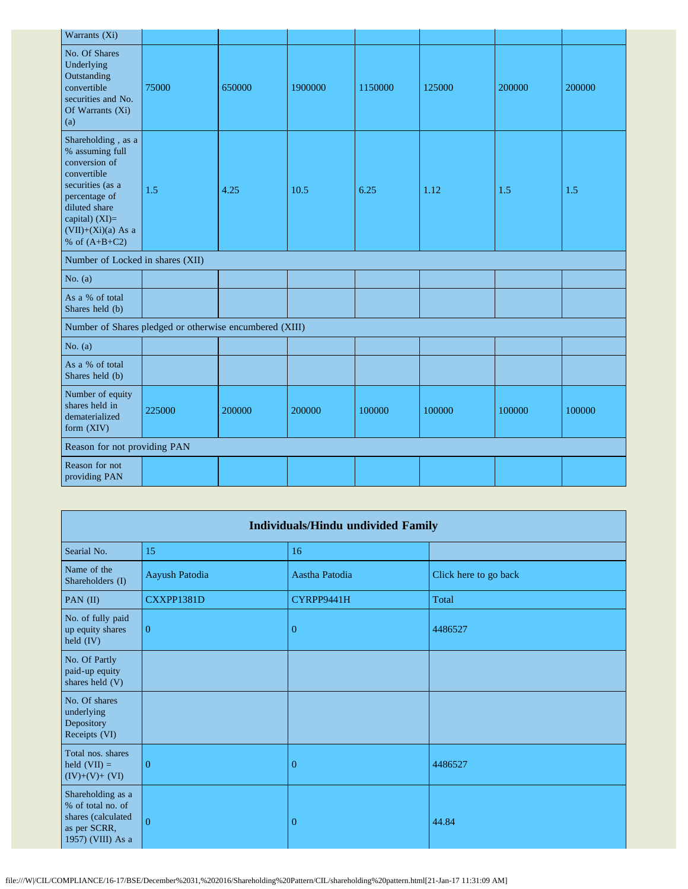| Warrants (Xi)                                                                                                                                                                            |        |        |         |         |        |        |        |
|------------------------------------------------------------------------------------------------------------------------------------------------------------------------------------------|--------|--------|---------|---------|--------|--------|--------|
| No. Of Shares<br>Underlying<br>Outstanding<br>convertible<br>securities and No.<br>Of Warrants (Xi)<br>(a)                                                                               | 75000  | 650000 | 1900000 | 1150000 | 125000 | 200000 | 200000 |
| Shareholding, as a<br>% assuming full<br>conversion of<br>convertible<br>securities (as a<br>percentage of<br>diluted share<br>capital) (XI)=<br>$(VII)+(Xi)(a)$ As a<br>% of $(A+B+C2)$ | 1.5    | 4.25   | 10.5    | 6.25    | 1.12   | 1.5    | 1.5    |
| Number of Locked in shares (XII)                                                                                                                                                         |        |        |         |         |        |        |        |
| No. $(a)$                                                                                                                                                                                |        |        |         |         |        |        |        |
| As a % of total<br>Shares held (b)                                                                                                                                                       |        |        |         |         |        |        |        |
| Number of Shares pledged or otherwise encumbered (XIII)                                                                                                                                  |        |        |         |         |        |        |        |
| No. $(a)$                                                                                                                                                                                |        |        |         |         |        |        |        |
| As a % of total<br>Shares held (b)                                                                                                                                                       |        |        |         |         |        |        |        |
| Number of equity<br>shares held in<br>dematerialized<br>form (XIV)                                                                                                                       | 225000 | 200000 | 200000  | 100000  | 100000 | 100000 | 100000 |
| Reason for not providing PAN                                                                                                                                                             |        |        |         |         |        |        |        |
| Reason for not<br>providing PAN                                                                                                                                                          |        |        |         |         |        |        |        |

| <b>Individuals/Hindu undivided Family</b>                                                         |                |                |                       |  |
|---------------------------------------------------------------------------------------------------|----------------|----------------|-----------------------|--|
| Searial No.                                                                                       | 15             | 16             |                       |  |
| Name of the<br>Shareholders (I)                                                                   | Aayush Patodia | Aastha Patodia | Click here to go back |  |
| PAN (II)                                                                                          | CXXPP1381D     | CYRPP9441H     | Total                 |  |
| No. of fully paid<br>up equity shares<br>held (IV)                                                | $\overline{0}$ | $\overline{0}$ | 4486527               |  |
| No. Of Partly<br>paid-up equity<br>shares held (V)                                                |                |                |                       |  |
| No. Of shares<br>underlying<br>Depository<br>Receipts (VI)                                        |                |                |                       |  |
| Total nos. shares<br>held $(VII) =$<br>$(IV)+(V)+(VI)$                                            | $\theta$       | $\Omega$       | 4486527               |  |
| Shareholding as a<br>% of total no. of<br>shares (calculated<br>as per SCRR,<br>1957) (VIII) As a | $\overline{0}$ | $\mathbf{0}$   | 44.84                 |  |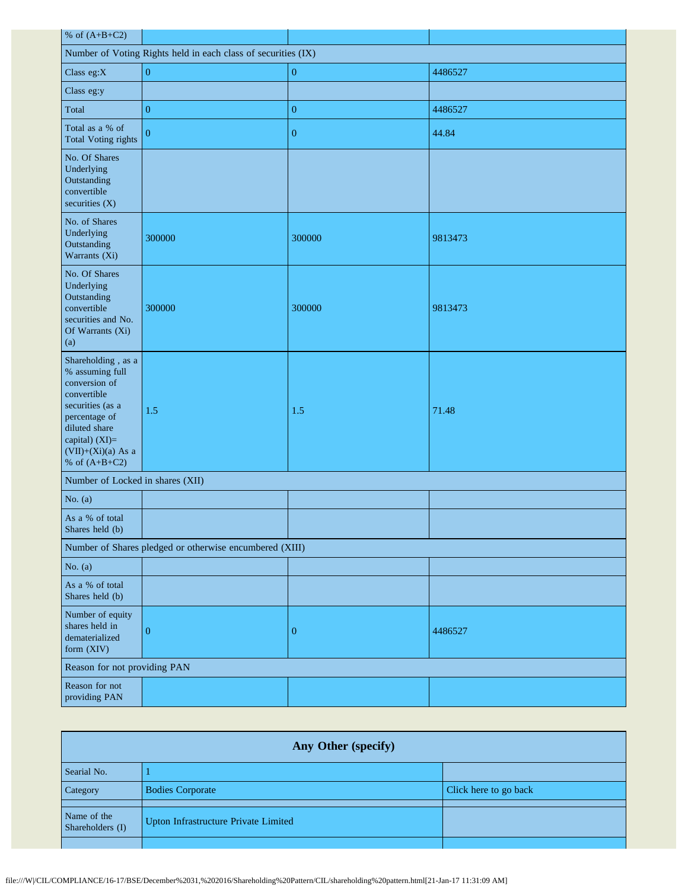| % of $(A+B+C2)$                                                                                                                                                                          |                  |                  |         |  |
|------------------------------------------------------------------------------------------------------------------------------------------------------------------------------------------|------------------|------------------|---------|--|
| Number of Voting Rights held in each class of securities (IX)                                                                                                                            |                  |                  |         |  |
| Class eg:X                                                                                                                                                                               | $\boldsymbol{0}$ | $\boldsymbol{0}$ | 4486527 |  |
| Class eg:y                                                                                                                                                                               |                  |                  |         |  |
| Total                                                                                                                                                                                    | $\boldsymbol{0}$ | $\overline{0}$   | 4486527 |  |
| Total as a % of<br><b>Total Voting rights</b>                                                                                                                                            | $\overline{0}$   | $\boldsymbol{0}$ | 44.84   |  |
| No. Of Shares<br>Underlying<br>Outstanding<br>convertible<br>securities (X)                                                                                                              |                  |                  |         |  |
| No. of Shares<br>Underlying<br>Outstanding<br>Warrants (Xi)                                                                                                                              | 300000           | 300000           | 9813473 |  |
| No. Of Shares<br>Underlying<br>Outstanding<br>convertible<br>securities and No.<br>Of Warrants (Xi)<br>(a)                                                                               | 300000           | 300000           | 9813473 |  |
| Shareholding, as a<br>% assuming full<br>conversion of<br>convertible<br>securities (as a<br>percentage of<br>diluted share<br>capital) (XI)=<br>$(VII)+(Xi)(a)$ As a<br>% of $(A+B+C2)$ | 1.5              | 1.5              | 71.48   |  |
| Number of Locked in shares (XII)                                                                                                                                                         |                  |                  |         |  |
| No. $(a)$                                                                                                                                                                                |                  |                  |         |  |
| As a % of total<br>Shares held (b)                                                                                                                                                       |                  |                  |         |  |
| Number of Shares pledged or otherwise encumbered (XIII)                                                                                                                                  |                  |                  |         |  |
| No. $(a)$                                                                                                                                                                                |                  |                  |         |  |
| As a % of total<br>Shares held (b)                                                                                                                                                       |                  |                  |         |  |
| Number of equity<br>shares held in<br>dematerialized<br>form (XIV)                                                                                                                       | $\boldsymbol{0}$ | $\mathbf{0}$     | 4486527 |  |
| Reason for not providing PAN                                                                                                                                                             |                  |                  |         |  |
| Reason for not<br>providing PAN                                                                                                                                                          |                  |                  |         |  |

| <b>Any Other (specify)</b>      |                                      |                       |  |  |
|---------------------------------|--------------------------------------|-----------------------|--|--|
| Searial No.                     |                                      |                       |  |  |
| Category                        | <b>Bodies Corporate</b>              | Click here to go back |  |  |
| Name of the<br>Shareholders (I) | Upton Infrastructure Private Limited |                       |  |  |
|                                 |                                      |                       |  |  |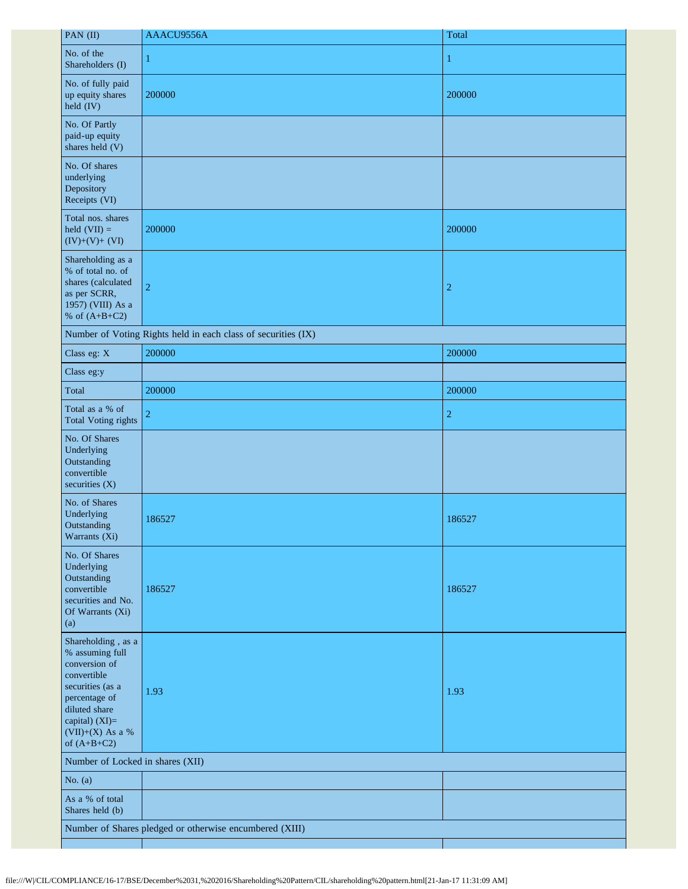| PAN (II)                                                                                                                                                                             | AAACU9556A                                                    | Total          |
|--------------------------------------------------------------------------------------------------------------------------------------------------------------------------------------|---------------------------------------------------------------|----------------|
| No. of the<br>Shareholders (I)                                                                                                                                                       | 1                                                             | 1              |
| No. of fully paid<br>up equity shares<br>$\text{held (IV)}$                                                                                                                          | 200000                                                        | 200000         |
| No. Of Partly<br>paid-up equity<br>shares held (V)                                                                                                                                   |                                                               |                |
| No. Of shares<br>underlying<br>Depository<br>Receipts (VI)                                                                                                                           |                                                               |                |
| Total nos. shares<br>held $(VII) =$<br>$(IV)+(V)+(VI)$                                                                                                                               | 200000                                                        | 200000         |
| Shareholding as a<br>% of total no. of<br>shares (calculated<br>as per SCRR,<br>1957) (VIII) As a<br>% of $(A+B+C2)$                                                                 | $\overline{2}$                                                | $\overline{c}$ |
|                                                                                                                                                                                      | Number of Voting Rights held in each class of securities (IX) |                |
| Class eg: X                                                                                                                                                                          | 200000                                                        | 200000         |
| Class eg:y                                                                                                                                                                           |                                                               |                |
| Total                                                                                                                                                                                | 200000                                                        | 200000         |
| Total as a % of<br><b>Total Voting rights</b>                                                                                                                                        | $\overline{2}$                                                | $\overline{c}$ |
| No. Of Shares<br>Underlying<br>Outstanding<br>convertible<br>securities (X)                                                                                                          |                                                               |                |
| No. of Shares<br>Underlying<br>Outstanding<br>Warrants (Xi)                                                                                                                          | 186527                                                        | 186527         |
| No. Of Shares<br>Underlying<br>Outstanding<br>convertible<br>securities and No.<br>Of Warrants (Xi)<br>(a)                                                                           | 186527                                                        | 186527         |
| Shareholding, as a<br>% assuming full<br>conversion of<br>convertible<br>securities (as a<br>percentage of<br>diluted share<br>capital) $(XI)=$<br>(VII)+(X) As a %<br>of $(A+B+C2)$ | 1.93                                                          | 1.93           |
| Number of Locked in shares (XII)                                                                                                                                                     |                                                               |                |
| No. $(a)$                                                                                                                                                                            |                                                               |                |
| As a % of total<br>Shares held (b)                                                                                                                                                   |                                                               |                |
|                                                                                                                                                                                      | Number of Shares pledged or otherwise encumbered (XIII)       |                |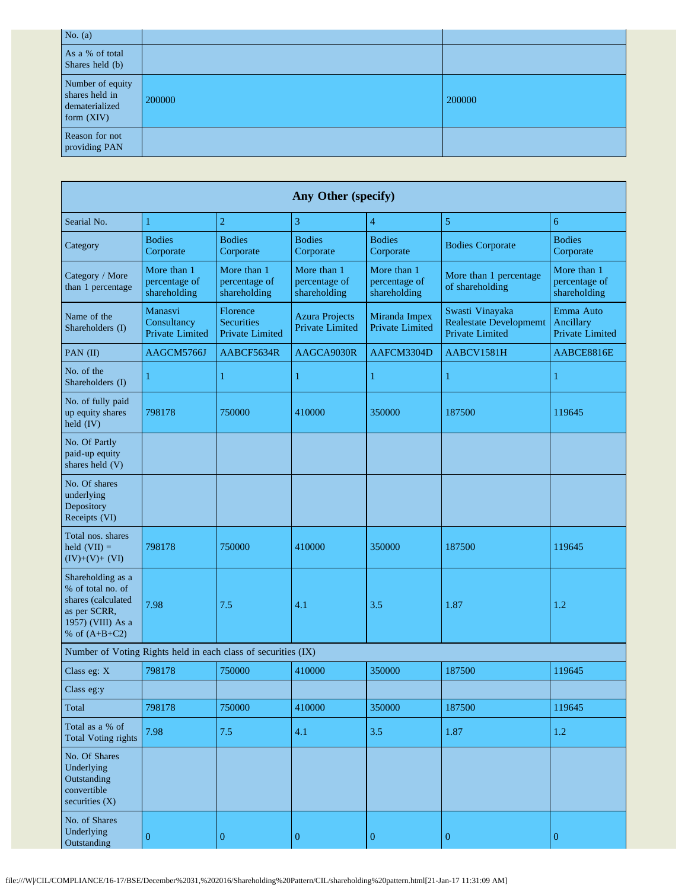| No. $(a)$                                                            |        |        |
|----------------------------------------------------------------------|--------|--------|
| As a % of total<br>Shares held (b)                                   |        |        |
| Number of equity<br>shares held in<br>dematerialized<br>form $(XIV)$ | 200000 | 200000 |
| Reason for not<br>providing PAN                                      |        |        |

| Any Other (specify)                                                                                                  |                                                  |                                                               |                                              |                                              |                                                                            |                                                  |
|----------------------------------------------------------------------------------------------------------------------|--------------------------------------------------|---------------------------------------------------------------|----------------------------------------------|----------------------------------------------|----------------------------------------------------------------------------|--------------------------------------------------|
| Searial No.                                                                                                          | $\mathbf{1}$                                     | $\overline{c}$                                                | 3                                            | $\overline{4}$                               | $\mathfrak{s}$                                                             | 6                                                |
| Category                                                                                                             | <b>Bodies</b><br>Corporate                       | <b>Bodies</b><br>Corporate                                    | <b>Bodies</b><br>Corporate                   | <b>Bodies</b><br>Corporate                   | <b>Bodies Corporate</b>                                                    | <b>Bodies</b><br>Corporate                       |
| Category / More<br>than 1 percentage                                                                                 | More than 1<br>percentage of<br>shareholding     | More than 1<br>percentage of<br>shareholding                  | More than 1<br>percentage of<br>shareholding | More than 1<br>percentage of<br>shareholding | More than 1 percentage<br>of shareholding                                  | More than 1<br>percentage of<br>shareholding     |
| Name of the<br>Shareholders (I)                                                                                      | Manasvi<br>Consultancy<br><b>Private Limited</b> | Florence<br><b>Securities</b><br><b>Private Limited</b>       | <b>Azura Projects</b><br>Private Limited     | Miranda Impex<br><b>Private Limited</b>      | Swasti Vinayaka<br><b>Realestate Development</b><br><b>Private Limited</b> | Emma Auto<br>Ancillary<br><b>Private Limited</b> |
| PAN (II)                                                                                                             | AAGCM5766J                                       | AABCF5634R                                                    | AAGCA9030R                                   | AAFCM3304D                                   | AABCV1581H                                                                 | AABCE8816E                                       |
| No. of the<br>Shareholders (I)                                                                                       | 1                                                | 1                                                             | 1                                            | 1                                            | $\mathbf{1}$                                                               | 1                                                |
| No. of fully paid<br>up equity shares<br>held (IV)                                                                   | 798178                                           | 750000                                                        | 410000                                       | 350000                                       | 187500                                                                     | 119645                                           |
| No. Of Partly<br>paid-up equity<br>shares held (V)                                                                   |                                                  |                                                               |                                              |                                              |                                                                            |                                                  |
| No. Of shares<br>underlying<br>Depository<br>Receipts (VI)                                                           |                                                  |                                                               |                                              |                                              |                                                                            |                                                  |
| Total nos. shares<br>held $(VII) =$<br>$(IV)+(V)+(VI)$                                                               | 798178                                           | 750000                                                        | 410000                                       | 350000                                       | 187500                                                                     | 119645                                           |
| Shareholding as a<br>% of total no. of<br>shares (calculated<br>as per SCRR,<br>1957) (VIII) As a<br>% of $(A+B+C2)$ | 7.98                                             | 7.5                                                           | 4.1                                          | 3.5                                          | 1.87                                                                       | 1.2                                              |
|                                                                                                                      |                                                  | Number of Voting Rights held in each class of securities (IX) |                                              |                                              |                                                                            |                                                  |
| Class eg: X                                                                                                          | 798178                                           | 750000                                                        | 410000                                       | 350000                                       | 187500                                                                     | 119645                                           |
| Class eg:y                                                                                                           |                                                  |                                                               |                                              |                                              |                                                                            |                                                  |
| Total                                                                                                                | 798178                                           | 750000                                                        | 410000                                       | 350000                                       | 187500                                                                     | 119645                                           |
| Total as a % of<br><b>Total Voting rights</b>                                                                        | 7.98                                             | 7.5                                                           | 4.1                                          | 3.5                                          | 1.87                                                                       | $1.2\,$                                          |
| No. Of Shares<br>Underlying<br>Outstanding<br>convertible<br>securities $(X)$                                        |                                                  |                                                               |                                              |                                              |                                                                            |                                                  |
| No. of Shares<br>Underlying<br>Outstanding                                                                           | $\boldsymbol{0}$                                 | $\boldsymbol{0}$                                              | $\overline{0}$                               | $\boldsymbol{0}$                             | $\boldsymbol{0}$                                                           | $\boldsymbol{0}$                                 |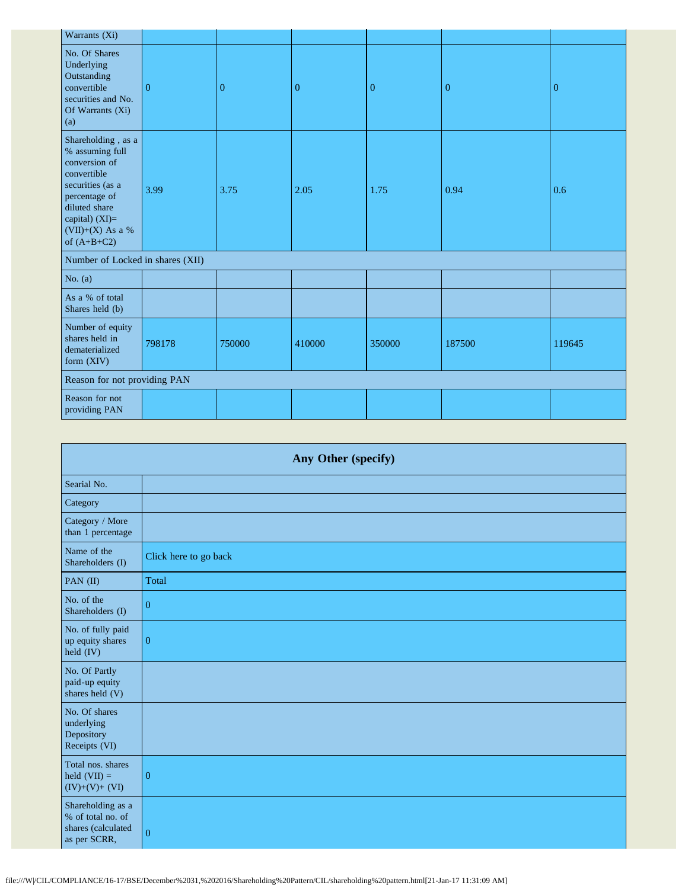| Warrants (Xi)                                                                                                                                                                        |          |              |              |                |                |          |
|--------------------------------------------------------------------------------------------------------------------------------------------------------------------------------------|----------|--------------|--------------|----------------|----------------|----------|
| No. Of Shares<br>Underlying<br>Outstanding<br>convertible<br>securities and No.<br>Of Warrants (Xi)<br>(a)                                                                           | $\Omega$ | $\mathbf{0}$ | $\mathbf{0}$ | $\overline{0}$ | $\overline{0}$ | $\theta$ |
| Shareholding, as a<br>% assuming full<br>conversion of<br>convertible<br>securities (as a<br>percentage of<br>diluted share<br>capital) (XI)=<br>$(VII)+(X)$ As a %<br>of $(A+B+C2)$ | 3.99     | 3.75         | 2.05         | 1.75           | 0.94           | 0.6      |
| Number of Locked in shares (XII)                                                                                                                                                     |          |              |              |                |                |          |
| No. $(a)$                                                                                                                                                                            |          |              |              |                |                |          |
| As a % of total<br>Shares held (b)                                                                                                                                                   |          |              |              |                |                |          |
| Number of equity<br>shares held in<br>dematerialized<br>form (XIV)                                                                                                                   | 798178   | 750000       | 410000       | 350000         | 187500         | 119645   |
| Reason for not providing PAN                                                                                                                                                         |          |              |              |                |                |          |
| Reason for not<br>providing PAN                                                                                                                                                      |          |              |              |                |                |          |

| Any Other (specify)                                                          |                       |  |
|------------------------------------------------------------------------------|-----------------------|--|
| Searial No.                                                                  |                       |  |
| Category                                                                     |                       |  |
| Category / More<br>than 1 percentage                                         |                       |  |
| Name of the<br>Shareholders (I)                                              | Click here to go back |  |
| PAN (II)                                                                     | Total                 |  |
| No. of the<br>Shareholders (I)                                               | $\boldsymbol{0}$      |  |
| No. of fully paid<br>up equity shares<br>held (IV)                           | $\mathbf{0}$          |  |
| No. Of Partly<br>paid-up equity<br>shares held (V)                           |                       |  |
| No. Of shares<br>underlying<br>Depository<br>Receipts (VI)                   |                       |  |
| Total nos. shares<br>held $(VII) =$<br>$(IV)+(V)+(VI)$                       | $\overline{0}$        |  |
| Shareholding as a<br>% of total no. of<br>shares (calculated<br>as per SCRR, | $\theta$              |  |